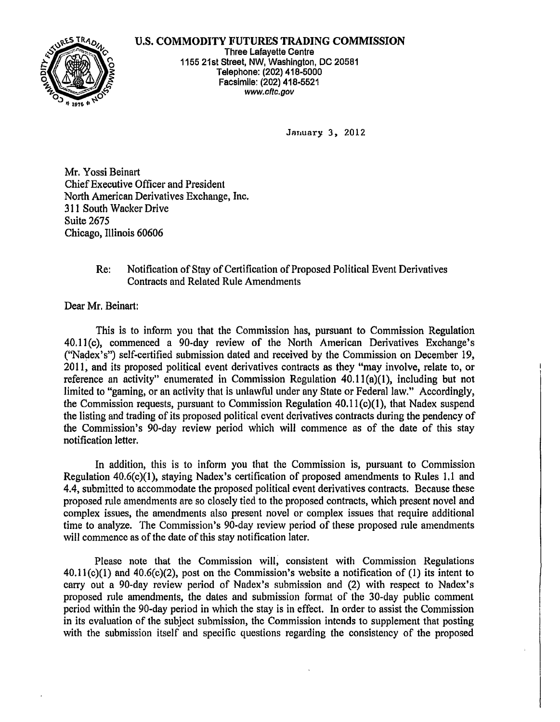## U.S. COMMODITY FUTURES TRADING COMMISSION



Three Lafayette Centre 1155 21st street, NW, Washington, DC 20581 Telephone: (202) 418-5000 Facsimile: (202) 418-5521 www.cftc.gov

January 3, 2012

Mr. Yossi Beinart ChiefExecutive Officer and President North American Derivatives Exchange, Inc. 311 South Wacker Drive Suite 2675 Chicago, Illinois 60606

## Re: Notification of Stay of Certification of Proposed Political Event Derivatives Contracts and Related Rule Amendments

Dear Mr. Beinart:

This is to inform you that the Commission has, pursuant to Commission Regulation 40.11(c), commenced a 90-day review of the North American Derivatives Exchange's ("Nadex's") self-certified submission dated and received by the Commission on December 19, 2011, and its proposed political event derivatives contracts as they "may involve, relate to, or reference an activity" enumerated in Commission Regulation  $40.11(a)(1)$ , including but not limited to "gaming, or an activity that is unlawful under any State or Federal law." Accordingly, the Commission requests, pursuant to Commission Regulation  $40.11(c)(1)$ , that Nadex suspend the listing and trading of its proposed political event derivatives contracts during the pendency of the Commission's 90-day review period which will commence as of the date of this stay notification letter.

In addition, this is to inform you that the Commission is, pursuant to Commission Regulation  $40.6(c)(1)$ , staying Nadex's certification of proposed amendments to Rules 1.1 and 4.4, submitted to accommodate the proposed political event derivatives contracts. Because these proposed rule amendments are so closely tied to the proposed contracts, which present novel and complex issues, the amendments also present novel or complex issues that require additional time to analyze. The Commission's 90-day review period of these proposed rule amendments will commence as of the date of this stay notification later.

Please note that the Commission will, consistent with Commission Regulations 40.11(c)(I) and 40.6(c)(2), post on the Commission's website a notification of (1) its intent to carry out a 90-day review period of Nadex's submission and (2) with respect to Nadex's proposed rule amendments, the dates and submission format of the 30-day public comment period within the 90-day period in which the stay is in effect. In order to assist the Commission in its evaluation of the subject submission, the Commission intends to supplement that posting with the submission itself and specific questions regarding the consistency of the proposed